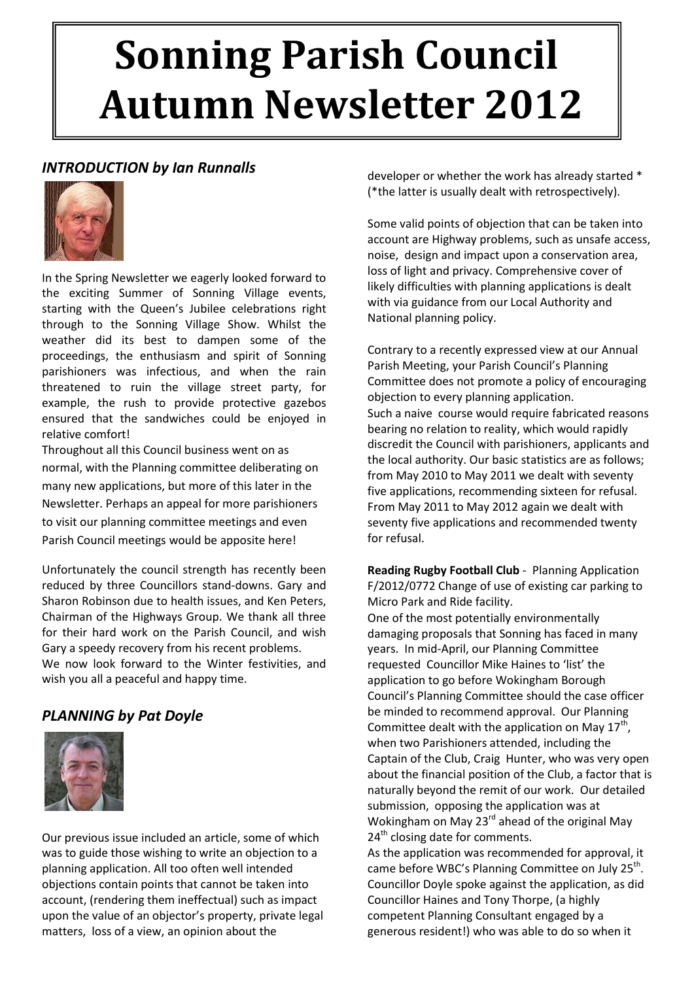# **Sonning Parish Council Autumn Newsletter 2012**

# *INTRODUCTION by Ian Runnalls*



In the Spring Newsletter we eagerly looked forward to the exciting Summer of Sonning Village events, starting with the Queen's Jubilee celebrations right through to the Sonning Village Show. Whilst the weather did its best to dampen some of the proceedings, the enthusiasm and spirit of Sonning parishioners was infectious, and when the rain threatened to ruin the village street party, for example, the rush to provide protective gazebos ensured that the sandwiches could be enjoyed in relative comfort!

Throughout all this Council business went on as normal, with the Planning committee deliberating on many new applications, but more of this later in the Newsletter. Perhaps an appeal for more parishioners to visit our planning committee meetings and even Parish Council meetings would be apposite here!

Unfortunately the council strength has recently been reduced by three Councillors stand-downs. Gary and Sharon Robinson due to health issues, and Ken Peters, Chairman of the Highways Group. We thank all three for their hard work on the Parish Council, and wish Gary a speedy recovery from his recent problems. We now look forward to the Winter festivities, and wish you all a peaceful and happy time.

# *PLANNING by Pat Doyle*



Our previous issue included an article, some of which was to guide those wishing to write an objection to a planning application. All too often well intended objections contain points that cannot be taken into account, (rendering them ineffectual) such as impact upon the value of an objector's property, private legal matters, loss of a view, an opinion about the

developer or whether the work has already started \* (\*the latter is usually dealt with retrospectively).

Some valid points of objection that can be taken into account are Highway problems, such as unsafe access, noise, design and impact upon a conservation area, loss of light and privacy. Comprehensive cover of likely difficulties with planning applications is dealt with via guidance from our Local Authority and National planning policy.

Contrary to a recently expressed view at our Annual Parish Meeting, your Parish Council's Planning Committee does not promote a policy of encouraging objection to every planning application. Such a naive course would require fabricated reasons bearing no relation to reality, which would rapidly discredit the Council with parishioners, applicants and the local authority. Our basic statistics are as follows; from May 2010 to May 2011 we dealt with seventy five applications, recommending sixteen for refusal. From May 2011 to May 2012 again we dealt with seventy five applications and recommended twenty for refusal.

**Reading Rugby Football Club** - Planning Application F/2012/0772 Change of use of existing car parking to Micro Park and Ride facility. One of the most potentially environmentally damaging proposals that Sonning has faced in many years. In mid-April, our Planning Committee requested Councillor Mike Haines to 'list' the application to go before Wokingham Borough Council's Planning Committee should the case officer be minded to recommend approval. Our Planning Committee dealt with the application on May  $17<sup>th</sup>$ , when two Parishioners attended, including the Captain of the Club, Craig Hunter, who was very open about the financial position of the Club, a factor that is naturally beyond the remit of our work. Our detailed submission, opposing the application was at Wokingham on May  $23<sup>rd</sup>$  ahead of the original May 24<sup>th</sup> closing date for comments.

As the application was recommended for approval, it came before WBC's Planning Committee on July 25<sup>th</sup>. Councillor Doyle spoke against the application, as did Councillor Haines and Tony Thorpe, (a highly competent Planning Consultant engaged by a generous resident!) who was able to do so when it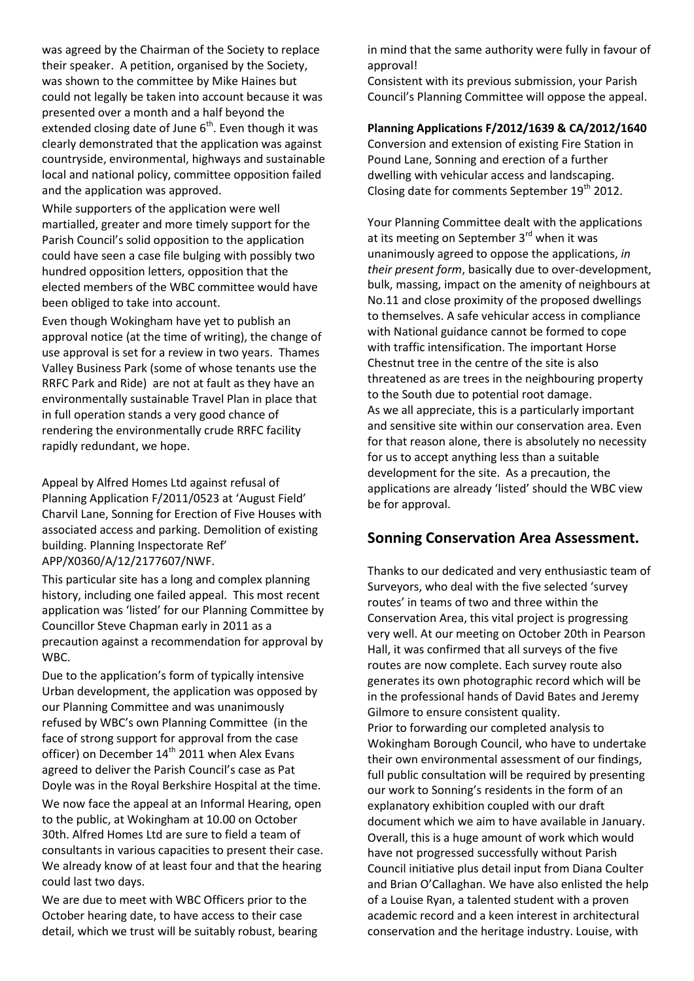was agreed by the Chairman of the Society to replace their speaker. A petition, organised by the Society, was shown to the committee by Mike Haines but could not legally be taken into account because it was presented over a month and a half beyond the extended closing date of June  $6<sup>th</sup>$ . Even though it was clearly demonstrated that the application was against countryside, environmental, highways and sustainable local and national policy, committee opposition failed and the application was approved.

While supporters of the application were well martialled, greater and more timely support for the Parish Council's solid opposition to the application could have seen a case file bulging with possibly two hundred opposition letters, opposition that the elected members of the WBC committee would have been obliged to take into account.

Even though Wokingham have yet to publish an approval notice (at the time of writing), the change of use approval is set for a review in two years. Thames Valley Business Park (some of whose tenants use the RRFC Park and Ride) are not at fault as they have an environmentally sustainable Travel Plan in place that in full operation stands a very good chance of rendering the environmentally crude RRFC facility rapidly redundant, we hope.

Appeal by Alfred Homes Ltd against refusal of Planning Application F/2011/0523 at 'August Field' Charvil Lane, Sonning for Erection of Five Houses with associated access and parking. Demolition of existing building. Planning Inspectorate Ref' APP/X0360/A/12/2177607/NWF.

This particular site has a long and complex planning history, including one failed appeal. This most recent application was 'listed' for our Planning Committee by Councillor Steve Chapman early in 2011 as a precaution against a recommendation for approval by WBC.

Due to the application's form of typically intensive Urban development, the application was opposed by our Planning Committee and was unanimously refused by WBC's own Planning Committee (in the face of strong support for approval from the case officer) on December  $14<sup>th</sup>$  2011 when Alex Evans agreed to deliver the Parish Council's case as Pat Doyle was in the Royal Berkshire Hospital at the time.

We now face the appeal at an Informal Hearing, open to the public, at Wokingham at 10.00 on October 30th. Alfred Homes Ltd are sure to field a team of consultants in various capacities to present their case. We already know of at least four and that the hearing could last two days.

We are due to meet with WBC Officers prior to the October hearing date, to have access to their case detail, which we trust will be suitably robust, bearing in mind that the same authority were fully in favour of approval!

Consistent with its previous submission, your Parish Council's Planning Committee will oppose the appeal.

## **Planning Applications F/2012/1639 & CA/2012/1640**

Conversion and extension of existing Fire Station in Pound Lane, Sonning and erection of a further dwelling with vehicular access and landscaping. Closing date for comments September  $19<sup>th</sup>$  2012.

Your Planning Committee dealt with the applications at its meeting on September 3<sup>rd</sup> when it was unanimously agreed to oppose the applications, *in their present form*, basically due to over-development, bulk, massing, impact on the amenity of neighbours at No.11 and close proximity of the proposed dwellings to themselves. A safe vehicular access in compliance with National guidance cannot be formed to cope with traffic intensification. The important Horse Chestnut tree in the centre of the site is also threatened as are trees in the neighbouring property to the South due to potential root damage. As we all appreciate, this is a particularly important and sensitive site within our conservation area. Even for that reason alone, there is absolutely no necessity for us to accept anything less than a suitable development for the site. As a precaution, the applications are already 'listed' should the WBC view be for approval.

## **Sonning Conservation Area Assessment.**

Thanks to our dedicated and very enthusiastic team of Surveyors, who deal with the five selected 'survey routes' in teams of two and three within the Conservation Area, this vital project is progressing very well. At our meeting on October 20th in Pearson Hall, it was confirmed that all surveys of the five routes are now complete. Each survey route also generates its own photographic record which will be in the professional hands of David Bates and Jeremy Gilmore to ensure consistent quality. Prior to forwarding our completed analysis to Wokingham Borough Council, who have to undertake their own environmental assessment of our findings, full public consultation will be required by presenting our work to Sonning's residents in the form of an explanatory exhibition coupled with our draft document which we aim to have available in January. Overall, this is a huge amount of work which would have not progressed successfully without Parish Council initiative plus detail input from Diana Coulter and Brian O'Callaghan. We have also enlisted the help of a Louise Ryan, a talented student with a proven academic record and a keen interest in architectural conservation and the heritage industry. Louise, with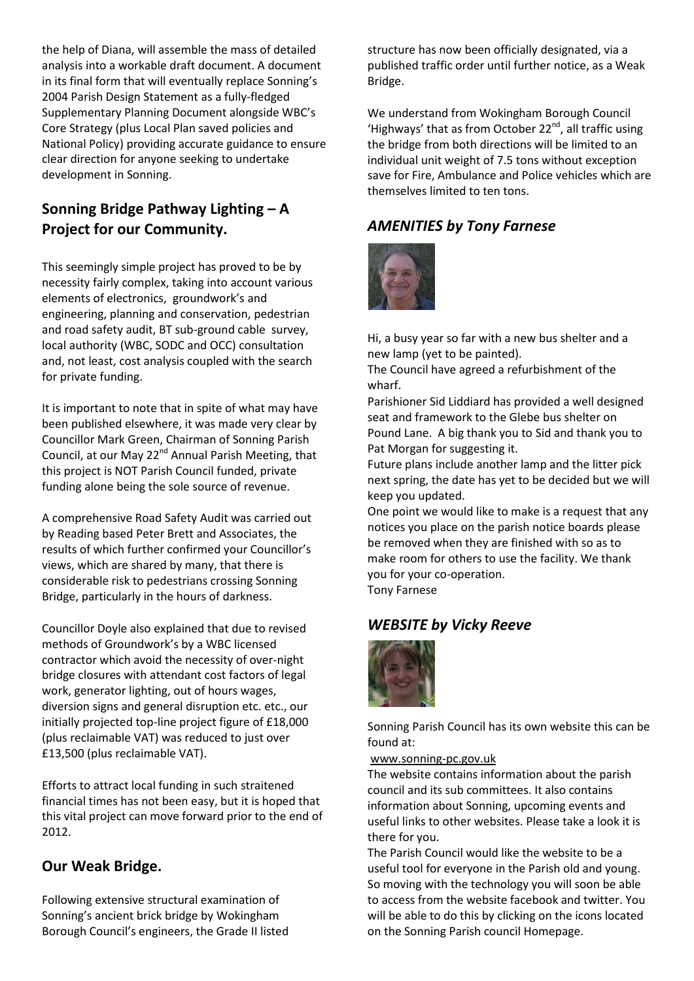the help of Diana, will assemble the mass of detailed analysis into a workable draft document. A document in its final form that will eventually replace Sonning's 2004 Parish Design Statement as a fully-fledged Supplementary Planning Document alongside WBC's Core Strategy (plus Local Plan saved policies and National Policy) providing accurate guidance to ensure clear direction for anyone seeking to undertake development in Sonning.

# **Sonning Bridge Pathway Lighting – A Project for our Community.**

This seemingly simple project has proved to be by necessity fairly complex, taking into account various elements of electronics, groundwork's and engineering, planning and conservation, pedestrian and road safety audit, BT sub-ground cable survey, local authority (WBC, SODC and OCC) consultation and, not least, cost analysis coupled with the search for private funding.

It is important to note that in spite of what may have been published elsewhere, it was made very clear by Councillor Mark Green, Chairman of Sonning Parish Council, at our May 22<sup>nd</sup> Annual Parish Meeting, that this project is NOT Parish Council funded, private funding alone being the sole source of revenue.

A comprehensive Road Safety Audit was carried out by Reading based Peter Brett and Associates, the results of which further confirmed your Councillor's views, which are shared by many, that there is considerable risk to pedestrians crossing Sonning Bridge, particularly in the hours of darkness.

Councillor Doyle also explained that due to revised methods of Groundwork's by a WBC licensed contractor which avoid the necessity of over-night bridge closures with attendant cost factors of legal work, generator lighting, out of hours wages, diversion signs and general disruption etc. etc., our initially projected top-line project figure of £18,000 (plus reclaimable VAT) was reduced to just over £13,500 (plus reclaimable VAT).

Efforts to attract local funding in such straitened financial times has not been easy, but it is hoped that this vital project can move forward prior to the end of 2012.

# **Our Weak Bridge.**

Following extensive structural examination of Sonning's ancient brick bridge by Wokingham Borough Council's engineers, the Grade II listed structure has now been officially designated, via a published traffic order until further notice, as a Weak Bridge.

We understand from Wokingham Borough Council 'Highways' that as from October 22<sup>nd</sup>, all traffic using the bridge from both directions will be limited to an individual unit weight of 7.5 tons without exception save for Fire, Ambulance and Police vehicles which are themselves limited to ten tons.

# *AMENITIES by Tony Farnese*



Hi, a busy year so far with a new bus shelter and a new lamp (yet to be painted).

The Council have agreed a refurbishment of the wharf.

Parishioner Sid Liddiard has provided a well designed seat and framework to the Glebe bus shelter on Pound Lane. A big thank you to Sid and thank you to Pat Morgan for suggesting it.

Future plans include another lamp and the litter pick next spring, the date has yet to be decided but we will keep you updated.

One point we would like to make is a request that any notices you place on the parish notice boards please be removed when they are finished with so as to make room for others to use the facility. We thank you for your co-operation.

Tony Farnese

# *WEBSITE by Vicky Reeve*



Sonning Parish Council has its own website this can be found at:

## [www.sonning-pc.gov.uk](http://www.sonning-pc.gov.uk/)

The website contains information about the parish council and its sub committees. It also contains information about Sonning, upcoming events and useful links to other websites. Please take a look it is there for you.

The Parish Council would like the website to be a useful tool for everyone in the Parish old and young. So moving with the technology you will soon be able to access from the website facebook and twitter. You will be able to do this by clicking on the icons located on the Sonning Parish council Homepage.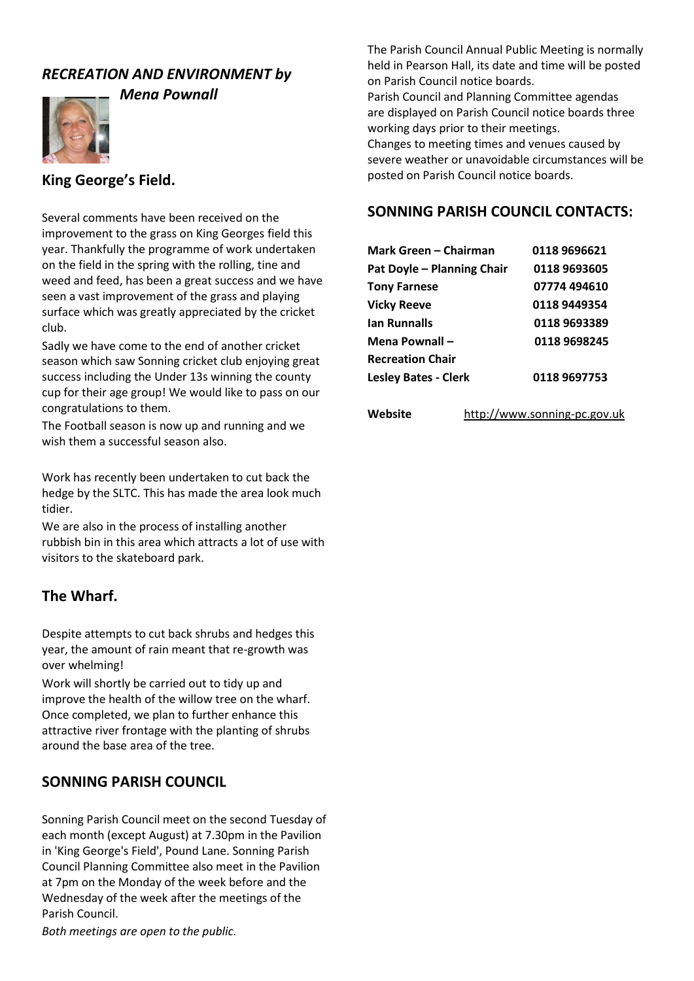## *RECREATION AND ENVIRONMENT by*



*Mena Pownall*

## **King George's Field.**

Several comments have been received on the improvement to the grass on King Georges field this year. Thankfully the programme of work undertaken on the field in the spring with the rolling, tine and weed and feed, has been a great success and we have seen a vast improvement of the grass and playing surface which was greatly appreciated by the cricket club.

Sadly we have come to the end of another cricket season which saw Sonning cricket club enjoying great success including the Under 13s winning the county cup for their age group! We would like to pass on our congratulations to them.

The Football season is now up and running and we wish them a successful season also.

Work has recently been undertaken to cut back the hedge by the SLTC. This has made the area look much tidier.

We are also in the process of installing another rubbish bin in this area which attracts a lot of use with visitors to the skateboard park.

## **The Wharf.**

Despite attempts to cut back shrubs and hedges this year, the amount of rain meant that re-growth was over whelming!

Work will shortly be carried out to tidy up and improve the health of the willow tree on the wharf. Once completed, we plan to further enhance this attractive river frontage with the planting of shrubs around the base area of the tree.

## **SONNING PARISH COUNCIL**

Sonning Parish Council meet on the second Tuesday of each month (except August) at 7.30pm in the Pavilion in 'King George's Field', Pound Lane. Sonning Parish Council Planning Committee also meet in the Pavilion at 7pm on the Monday of the week before and the Wednesday of the week after the meetings of the Parish Council.

*Both meetings are open to the public.*

The Parish Council Annual Public Meeting is normally held in Pearson Hall, its date and time will be posted on Parish Council notice boards.

Parish Council and Planning Committee agendas are displayed on Parish Council notice boards three working days prior to their meetings.

Changes to meeting times and venues caused by severe weather or unavoidable circumstances will be posted on Parish Council notice boards.

## **SONNING PARISH COUNCIL CONTACTS:**

| Mark Green – Chairman       | 0118 9696621 |
|-----------------------------|--------------|
| Pat Doyle - Planning Chair  | 0118 9693605 |
| <b>Tony Farnese</b>         | 07774 494610 |
| <b>Vicky Reeve</b>          | 0118 9449354 |
| <b>Ian Runnalls</b>         | 0118 9693389 |
| Mena Pownall -              | 0118 9698245 |
| <b>Recreation Chair</b>     |              |
| <b>Lesley Bates - Clerk</b> | 0118 9697753 |

| Website | http://www.sonning-pc.gov.uk |
|---------|------------------------------|
|         |                              |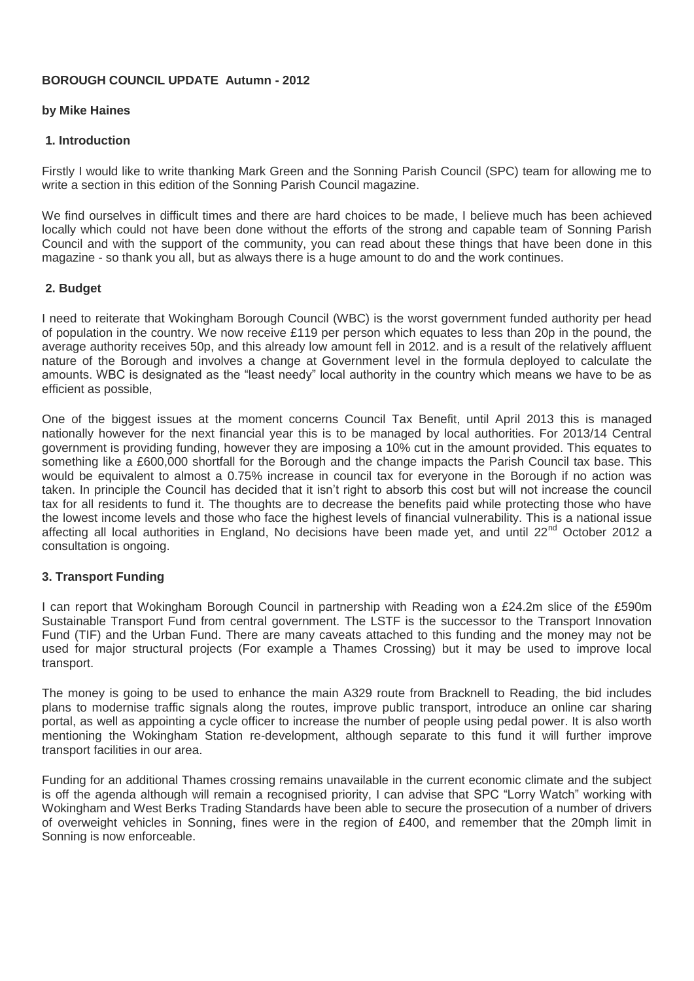## **BOROUGH COUNCIL UPDATE Autumn - 2012**

## **by Mike Haines**

## **1. Introduction**

Firstly I would like to write thanking Mark Green and the Sonning Parish Council (SPC) team for allowing me to write a section in this edition of the Sonning Parish Council magazine.

We find ourselves in difficult times and there are hard choices to be made, I believe much has been achieved locally which could not have been done without the efforts of the strong and capable team of Sonning Parish Council and with the support of the community, you can read about these things that have been done in this magazine - so thank you all, but as always there is a huge amount to do and the work continues.

## **2. Budget**

I need to reiterate that Wokingham Borough Council (WBC) is the worst government funded authority per head of population in the country. We now receive £119 per person which equates to less than 20p in the pound, the average authority receives 50p, and this already low amount fell in 2012. and is a result of the relatively affluent nature of the Borough and involves a change at Government level in the formula deployed to calculate the amounts. WBC is designated as the "least needy" local authority in the country which means we have to be as efficient as possible,

One of the biggest issues at the moment concerns Council Tax Benefit, until April 2013 this is managed nationally however for the next financial year this is to be managed by local authorities. For 2013/14 Central government is providing funding, however they are imposing a 10% cut in the amount provided. This equates to something like a £600,000 shortfall for the Borough and the change impacts the Parish Council tax base. This would be equivalent to almost a 0.75% increase in council tax for everyone in the Borough if no action was taken. In principle the Council has decided that it isn't right to absorb this cost but will not increase the council tax for all residents to fund it. The thoughts are to decrease the benefits paid while protecting those who have the lowest income levels and those who face the highest levels of financial vulnerability. This is a national issue affecting all local authorities in England, No decisions have been made yet, and until 22<sup>nd</sup> October 2012 a consultation is ongoing.

## **3. Transport Funding**

I can report that Wokingham Borough Council in partnership with Reading won a £24.2m slice of the £590m Sustainable Transport Fund from central government. The LSTF is the successor to the Transport Innovation Fund (TIF) and the Urban Fund. There are many caveats attached to this funding and the money may not be used for major structural projects (For example a Thames Crossing) but it may be used to improve local transport.

The money is going to be used to enhance the main A329 route from Bracknell to Reading, the bid includes plans to modernise traffic signals along the routes, improve public transport, introduce an online car sharing portal, as well as appointing a cycle officer to increase the number of people using pedal power. It is also worth mentioning the Wokingham Station re-development, although separate to this fund it will further improve transport facilities in our area.

Funding for an additional Thames crossing remains unavailable in the current economic climate and the subject is off the agenda although will remain a recognised priority, I can advise that SPC "Lorry Watch" working with Wokingham and West Berks Trading Standards have been able to secure the prosecution of a number of drivers of overweight vehicles in Sonning, fines were in the region of £400, and remember that the 20mph limit in Sonning is now enforceable.